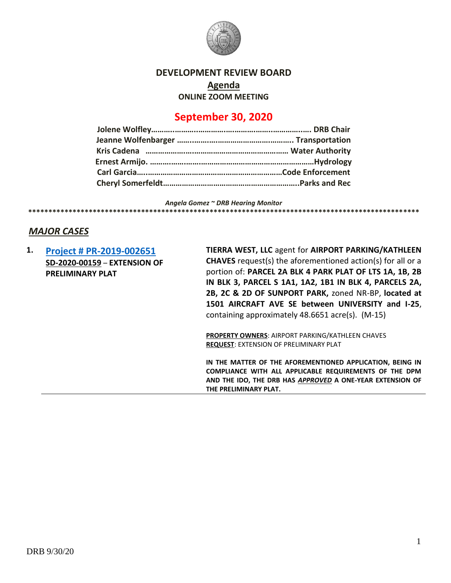

## **DEVELOPMENT REVIEW BOARD**

**Agenda**

**ONLINE ZOOM MEETING**

# **September 30, 2020**

*Angela Gomez ~ DRB Hearing Monitor* **\*\*\*\*\*\*\*\*\*\*\*\*\*\*\*\*\*\*\*\*\*\*\*\*\*\*\*\*\*\*\*\*\*\*\*\*\*\*\*\*\*\*\*\*\*\*\*\*\*\*\*\*\*\*\*\*\*\*\*\*\*\*\*\*\*\*\*\*\*\*\*\*\*\*\*\*\*\*\*\*\*\*\*\*\*\*\*\*\*\*\*\*\*\*\*\*\***

# *MAJOR CASES*

**1. [Project # PR-2019-002651](http://data.cabq.gov/government/planning/DRB/PR-2019-002651/DRB%20Submittals/PR-2019-002651_Sept_30_2020/Application/2018005%209-2-20%20Airport%20Parking%20Extension%20Sumbittal.pdf) SD-2020-00159** – **EXTENSION OF PRELIMINARY PLAT TIERRA WEST, LLC** agent for **AIRPORT PARKING/KATHLEEN CHAVES** request(s) the aforementioned action(s) for all or a portion of: **PARCEL 2A BLK 4 PARK PLAT OF LTS 1A, 1B, 2B IN BLK 3, PARCEL S 1A1, 1A2, 1B1 IN BLK 4, PARCELS 2A, 2B, 2C & 2D OF SUNPORT PARK,** zoned NR-BP, **located at 1501 AIRCRAFT AVE SE between UNIVERSITY and I-25**, containing approximately 48.6651 acre(s). (M-15) **PROPERTY OWNERS**: AIRPORT PARKING/KATHLEEN CHAVES **REQUEST**: EXTENSION OF PRELIMINARY PLAT **IN THE MATTER OF THE AFOREMENTIONED APPLICATION, BEING IN COMPLIANCE WITH ALL APPLICABLE REQUIREMENTS OF THE DPM AND THE IDO, THE DRB HAS** *APPROVED* **A ONE-YEAR EXTENSION OF THE PRELIMINARY PLAT.**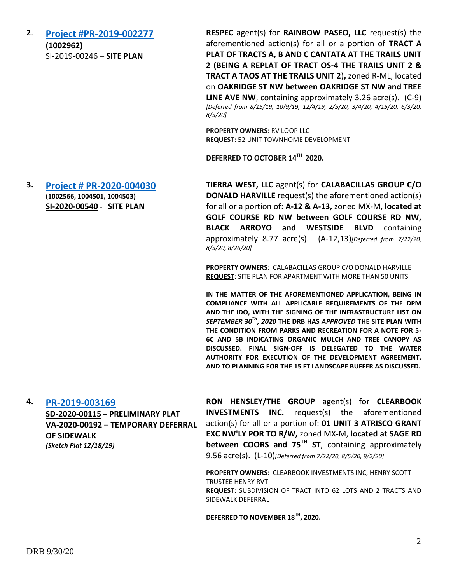**2**. **[Project #PR-2019-002277](http://data.cabq.gov/government/planning/DRB/PR-2019-002277/DRB%20Submittals/PR-2019-002277_Oct_9_2019/Application/03662-SITE%20PLAN.pdf) (1002962)** SI-2019-00246 **– SITE PLAN**

**RESPEC** agent(s) for **RAINBOW PASEO, LLC** request(s) the aforementioned action(s) for all or a portion of **TRACT A PLAT OF TRACTS A, B AND C CANTATA AT THE TRAILS UNIT 2 (BEING A REPLAT OF TRACT OS-4 THE TRAILS UNIT 2 & TRACT A TAOS AT THE TRAILS UNIT 2**)**,** zoned R-ML, located on **OAKRIDGE ST NW between OAKRIDGE ST NW and TREE LINE AVE NW**, containing approximately 3.26 acre(s). (C-9) *[Deferred from 8/15/19, 10/9/19, 12/4/19, 2/5/20, 3/4/20, 4/15/20, 6/3/20, 8/5/20]*

**PROPERTY OWNERS**: RV LOOP LLC **REQUEST**: 52 UNIT TOWNHOME DEVELOPMENT

**DEFERRED TO OCTOBER 14TH 2020.**

**3. [Project # PR-2020-004030](http://data.cabq.gov/government/planning/DRB/PR-2020-004030/DRB%20Submittals/PR-2020-004030_Aug_5_2020_Supp/Application/DRB%20Resubmittal%207.31.2020/) (1002566, 1004501, 1004503) SI-2020-00540** - **SITE PLAN**

**TIERRA WEST, LLC** agent(s) for **CALABACILLAS GROUP C/O DONALD HARVILLE** request(s) the aforementioned action(s) for all or a portion of: **A-12 & A-13,** zoned MX-M, **located at GOLF COURSE RD NW between GOLF COURSE RD NW, BLACK ARROYO and WESTSIDE BLVD** containing approximately 8.77 acre(s). (A-12,13)*[Deferred from 7/22/20, 8/5/20, 8/26/20]*

**PROPERTY OWNERS**: CALABACILLAS GROUP C/O DONALD HARVILLE **REQUEST**: SITE PLAN FOR APARTMENT WITH MORE THAN 50 UNITS

**IN THE MATTER OF THE AFOREMENTIONED APPLICATION, BEING IN COMPLIANCE WITH ALL APPLICABLE REQUIREMENTS OF THE DPM AND THE IDO, WITH THE SIGNING OF THE INFRASTRUCTURE LIST ON**  *SEPTEMBER 30TH , 2020* **THE DRB HAS** *APPROVED* **THE SITE PLAN WITH THE CONDITION FROM PARKS AND RECREATION FOR A NOTE FOR 5- 6C AND 5B INDICATING ORGANIC MULCH AND TREE CANOPY AS DISCUSSED. FINAL SIGN-OFF IS DELEGATED TO THE WATER AUTHORITY FOR EXECUTION OF THE DEVELOPMENT AGREEMENT, AND TO PLANNING FOR THE 15 FT LANDSCAPE BUFFER AS DISCUSSED.**

#### **4. [PR-2019-003169](http://data.cabq.gov/government/planning/DRB/PR-2019-003169/DRB%20Submittals/PR-2019-003169_Aug_5_2020_Supplemental/Application/)**

**SD-2020-00115** – **PRELIMINARY PLAT VA-2020-00192** – **TEMPORARY DEFERRAL OF SIDEWALK** *(Sketch Plat 12/18/19)*

**RON HENSLEY/THE GROUP** agent(s) for **CLEARBOOK INVESTMENTS INC.** request(s) the aforementioned action(s) for all or a portion of: **01 UNIT 3 ATRISCO GRANT EXC NW'LY POR TO R/W,** zoned MX-M, **located at SAGE RD between COORS and 75TH ST**, containing approximately 9.56 acre(s). (L-10)*[Deferred from 7/22/20, 8/5/20, 9/2/20]*

**PROPERTY OWNERS**: CLEARBOOK INVESTMENTS INC, HENRY SCOTT TRUSTEE HENRY RVT **REQUEST**: SUBDIVISION OF TRACT INTO 62 LOTS AND 2 TRACTS AND SIDEWALK DEFERRAL

**DEFERRED TO NOVEMBER 18TH , 2020.**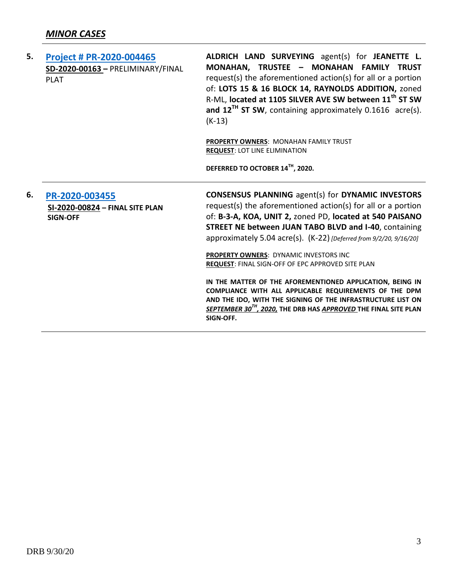| 5. | <b>Project # PR-2020-004465</b><br>SD-2020-00163 - PRELIMINARY/FINAL<br><b>PLAT</b> | ALDRICH LAND SURVEYING agent(s) for JEANETTE L.<br>MONAHAN, TRUSTEE - MONAHAN FAMILY TRUST<br>request(s) the aforementioned action(s) for all or a portion<br>of: LOTS 15 & 16 BLOCK 14, RAYNOLDS ADDITION, zoned<br>R-ML, located at 1105 SILVER AVE SW between 11 <sup>th</sup> ST SW<br>and $12^{Th}$ ST SW, containing approximately 0.1616 acre(s).<br>$(K-13)$<br><b>PROPERTY OWNERS: MONAHAN FAMILY TRUST</b><br><b>REQUEST: LOT LINE ELIMINATION</b><br>DEFERRED TO OCTOBER 14TH, 2020.                                                                                                                                                                                                             |
|----|-------------------------------------------------------------------------------------|-------------------------------------------------------------------------------------------------------------------------------------------------------------------------------------------------------------------------------------------------------------------------------------------------------------------------------------------------------------------------------------------------------------------------------------------------------------------------------------------------------------------------------------------------------------------------------------------------------------------------------------------------------------------------------------------------------------|
| 6. | PR-2020-003455<br>SI-2020-00824 - FINAL SITE PLAN<br><b>SIGN-OFF</b>                | <b>CONSENSUS PLANNING agent(s) for DYNAMIC INVESTORS</b><br>request(s) the aforementioned action(s) for all or a portion<br>of: B-3-A, KOA, UNIT 2, zoned PD, located at 540 PAISANO<br>STREET NE between JUAN TABO BLVD and I-40, containing<br>approximately 5.04 acre(s). (K-22) [Deferred from 9/2/20, 9/16/20]<br>PROPERTY OWNERS: DYNAMIC INVESTORS INC<br><b>REQUEST: FINAL SIGN-OFF OF EPC APPROVED SITE PLAN</b><br>IN THE MATTER OF THE AFOREMENTIONED APPLICATION, BEING IN<br>COMPLIANCE WITH ALL APPLICABLE REQUIREMENTS OF THE DPM<br>AND THE IDO, WITH THE SIGNING OF THE INFRASTRUCTURE LIST ON<br>SEPTEMBER 30 <sup>TH</sup> , 2020, THE DRB HAS APPROVED THE FINAL SITE PLAN<br>SIGN-OFF. |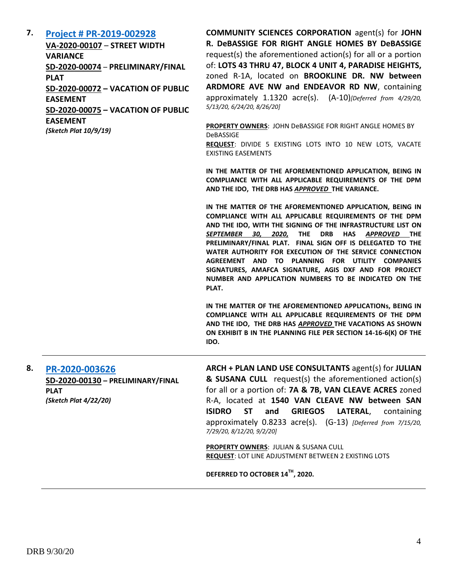### **7. [Project # PR-2019-002928](http://data.cabq.gov/government/planning/DRB/PR-2019-002928/DRB%20Submittals/PR-2019-002928_May_13_2020/Application/FINAL%20PLAT%20LOTS%2043-A%20THRU%2047-B%20BLOCK%204%20PARADISE%20HEIGHTS%20UNIT%204.pdf)**

**VA-2020-00107** – **STREET WIDTH VARIANCE SD-2020-00074** – **PRELIMINARY/FINAL PLAT SD-2020-00072 – VACATION OF PUBLIC EASEMENT SD-2020-00075 – VACATION OF PUBLIC EASEMENT**

*(Sketch Plat 10/9/19)*

**COMMUNITY SCIENCES CORPORATION** agent(s) for **JOHN R. DeBASSIGE FOR RIGHT ANGLE HOMES BY DeBASSIGE** request(s) the aforementioned action(s) for all or a portion of: **LOTS 43 THRU 47, BLOCK 4 UNIT 4, PARADISE HEIGHTS,**  zoned R-1A, located on **BROOKLINE DR. NW between ARDMORE AVE NW and ENDEAVOR RD NW**, containing approximately 1.1320 acre(s). (A-10)*[Deferred from 4/29/20, 5/13/20, 6/24/20, 8/26/20]*

**PROPERTY OWNERS**: JOHN DeBASSIGE FOR RIGHT ANGLE HOMES BY DeBASSIGE **REQUEST**: DIVIDE 5 EXISTING LOTS INTO 10 NEW LOTS, VACATE

EXISTING EASEMENTS

**IN THE MATTER OF THE AFOREMENTIONED APPLICATION, BEING IN COMPLIANCE WITH ALL APPLICABLE REQUIREMENTS OF THE DPM AND THE IDO, THE DRB HAS** *APPROVED* **THE VARIANCE.** 

**IN THE MATTER OF THE AFOREMENTIONED APPLICATION, BEING IN COMPLIANCE WITH ALL APPLICABLE REQUIREMENTS OF THE DPM AND THE IDO, WITH THE SIGNING OF THE INFRASTRUCTURE LIST ON** *SEPTEMBER 30, 2020,* **THE DRB HAS** *APPROVED* **THE PRELIMINARY/FINAL PLAT. FINAL SIGN OFF IS DELEGATED TO THE WATER AUTHORITY FOR EXECUTION OF THE SERVICE CONNECTION AGREEMENT AND TO PLANNING FOR UTILITY COMPANIES SIGNATURES, AMAFCA SIGNATURE, AGIS DXF AND FOR PROJECT NUMBER AND APPLICATION NUMBERS TO BE INDICATED ON THE PLAT.**

**IN THE MATTER OF THE AFOREMENTIONED APPLICATIONs, BEING IN COMPLIANCE WITH ALL APPLICABLE REQUIREMENTS OF THE DPM AND THE IDO, THE DRB HAS** *APPROVED* **THE VACATIONS AS SHOWN ON EXHIBIT B IN THE PLANNING FILE PER SECTION 14-16-6(K) OF THE IDO.**

**8. [PR-2020-003626](http://data.cabq.gov/government/planning/DRB/PR-2020-003626/DRB%20Submittals/PR-2020-003626_July_15_2020/Application/PR%202020-003626%20PRELIM%20FINAL%20PLAT.pdf) SD-2020-00130 – PRELIMINARY/FINAL PLAT** *(Sketch Plat 4/22/20)*

**ARCH + PLAN LAND USE CONSULTANTS** agent(s) for **JULIAN & SUSANA CULL** request(s) the aforementioned action(s) for all or a portion of: **7A & 7B, VAN CLEAVE ACRES** zoned R-A, located at **1540 VAN CLEAVE NW between SAN ISIDRO ST and GRIEGOS LATERAL**, containing approximately 0.8233 acre(s). (G-13) *[Deferred from 7/15/20, 7/29/20, 8/12/20, 9/2/20]*

**PROPERTY OWNERS**: JULIAN & SUSANA CULL **REQUEST**: LOT LINE ADJUSTMENT BETWEEN 2 EXISTING LOTS

**DEFERRED TO OCTOBER 14TH , 2020.**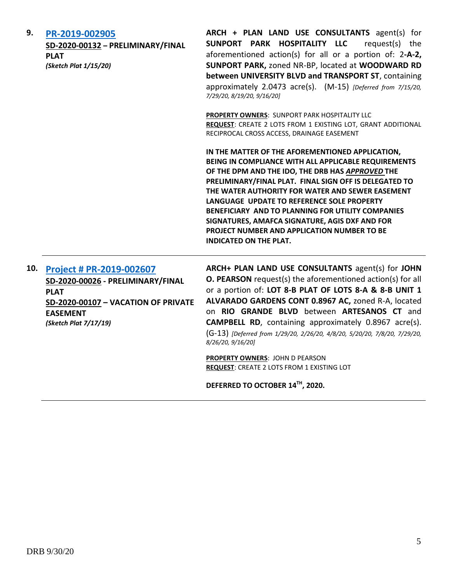| 9.  | PR-2019-002905<br>SD-2020-00132 - PRELIMINARY/FINAL<br><b>PLAT</b><br>(Sketch Plat 1/15/20)                                                                            | ARCH + PLAN LAND USE CONSULTANTS agent(s) for<br>SUNPORT PARK HOSPITALITY LLC<br>request(s) the<br>aforementioned action(s) for all or a portion of: 2-A-2,<br>SUNPORT PARK, zoned NR-BP, located at WOODWARD RD<br>between UNIVERSITY BLVD and TRANSPORT ST, containing<br>approximately 2.0473 acre(s). (M-15) [Deferred from 7/15/20,<br>7/29/20, 8/19/20, 9/16/20]                                                                                                                                          |
|-----|------------------------------------------------------------------------------------------------------------------------------------------------------------------------|-----------------------------------------------------------------------------------------------------------------------------------------------------------------------------------------------------------------------------------------------------------------------------------------------------------------------------------------------------------------------------------------------------------------------------------------------------------------------------------------------------------------|
|     |                                                                                                                                                                        | <b>PROPERTY OWNERS: SUNPORT PARK HOSPITALITY LLC</b><br>REQUEST: CREATE 2 LOTS FROM 1 EXISTING LOT, GRANT ADDITIONAL<br>RECIPROCAL CROSS ACCESS, DRAINAGE EASEMENT                                                                                                                                                                                                                                                                                                                                              |
|     |                                                                                                                                                                        | IN THE MATTER OF THE AFOREMENTIONED APPLICATION,<br>BEING IN COMPLIANCE WITH ALL APPLICABLE REQUIREMENTS<br>OF THE DPM AND THE IDO, THE DRB HAS APPROVED THE<br>PRELIMINARY/FINAL PLAT. FINAL SIGN OFF IS DELEGATED TO<br>THE WATER AUTHORITY FOR WATER AND SEWER EASEMENT<br>LANGUAGE UPDATE TO REFERENCE SOLE PROPERTY<br>BENEFICIARY AND TO PLANNING FOR UTILITY COMPANIES<br>SIGNATURES, AMAFCA SIGNATURE, AGIS DXF AND FOR<br>PROJECT NUMBER AND APPLICATION NUMBER TO BE<br><b>INDICATED ON THE PLAT.</b> |
| 10. | <b>Project # PR-2019-002607</b><br>SD-2020-00026 - PRELIMINARY/FINAL<br><b>PLAT</b><br>SD-2020-00107 - VACATION OF PRIVATE<br><b>EASEMENT</b><br>(Sketch Plat 7/17/19) | ARCH+ PLAN LAND USE CONSULTANTS agent(s) for JOHN<br><b>O. PEARSON</b> request(s) the aforementioned action(s) for all<br>or a portion of: LOT 8-B PLAT OF LOTS 8-A & 8-B UNIT 1<br>ALVARADO GARDENS CONT 0.8967 AC, zoned R-A, located<br>on RIO GRANDE BLVD between ARTESANOS CT and<br><b>CAMPBELL RD</b> , containing approximately 0.8967 acre(s).                                                                                                                                                         |

*8/26/20, 9/16/20]*

*(Sketch Plat 7/17/19)*

**PROPERTY OWNERS**: JOHN D PEARSON **REQUEST**: CREATE 2 LOTS FROM 1 EXISTING LOT

(G-13) *[Deferred from 1/29/20, 2/26/20, 4/8/20, 5/20/20, 7/8/20, 7/29/20,* 

**DEFERRED TO OCTOBER 14TH , 2020.**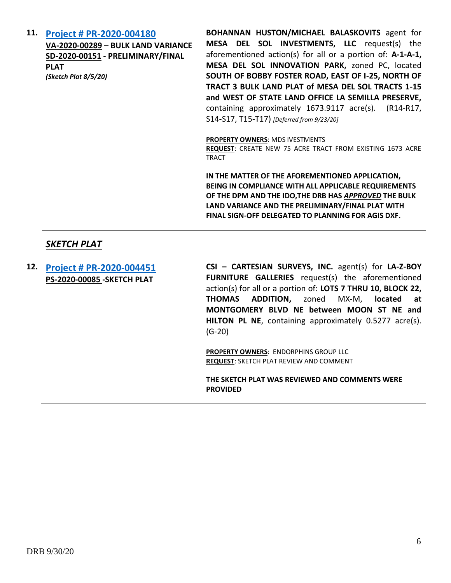**11. [Project # PR-2020-004180](http://data.cabq.gov/government/planning/DRB/PR-2020-004180/DRB%20Submittals/PR-2020-004180_Sep_23_2020/Application/Submittal%20Pkg_8.28.20.pdf)**

**VA-2020-00289 – BULK LAND VARIANCE SD-2020-00151 - PRELIMINARY/FINAL PLAT** *(Sketch Plat 8/5/20)*

**BOHANNAN HUSTON/MICHAEL BALASKOVITS** agent for **MESA DEL SOL INVESTMENTS, LLC** request(s) the aforementioned action(s) for all or a portion of: **A-1-A-1, MESA DEL SOL INNOVATION PARK,** zoned PC, located **SOUTH OF BOBBY FOSTER ROAD, EAST OF I-25, NORTH OF TRACT 3 BULK LAND PLAT of MESA DEL SOL TRACTS 1-15 and WEST OF STATE LAND OFFICE LA SEMILLA PRESERVE,** containing approximately 1673.9117 acre(s). (R14-R17, S14-S17, T15-T17) *[Deferred from 9/23/20]*

#### **PROPERTY OWNERS**: MDS IVESTMENTS

**REQUEST**: CREATE NEW 75 ACRE TRACT FROM EXISTING 1673 ACRE TRACT

**IN THE MATTER OF THE AFOREMENTIONED APPLICATION, BEING IN COMPLIANCE WITH ALL APPLICABLE REQUIREMENTS OF THE DPM AND THE IDO,THE DRB HAS** *APPROVED* **THE BULK LAND VARIANCE AND THE PRELIMINARY/FINAL PLAT WITH FINAL SIGN-OFF DELEGATED TO PLANNING FOR AGIS DXF.**

### *SKETCH PLAT*

**12. [Project # PR-2020-004451](http://data.cabq.gov/government/planning/DRB/PR-2020-004451/DRB%20Submittals/PR-2020-004451_Sept_30_2020/Application/Sketch%20Plat%20Submittal_Lot%207-A_Thomas%20Addition.pdf) PS-2020-00085 -SKETCH PLAT**

**CSI – CARTESIAN SURVEYS, INC.** agent(s) for **LA-Z-BOY FURNITURE GALLERIES** request(s) the aforementioned action(s) for all or a portion of: **LOTS 7 THRU 10, BLOCK 22, THOMAS ADDITION,** zoned MX-M, **located at MONTGOMERY BLVD NE between MOON ST NE and HILTON PL NE**, containing approximately 0.5277 acre(s). (G-20)

**PROPERTY OWNERS**: ENDORPHINS GROUP LLC **REQUEST**: SKETCH PLAT REVIEW AND COMMENT

**THE SKETCH PLAT WAS REVIEWED AND COMMENTS WERE PROVIDED**